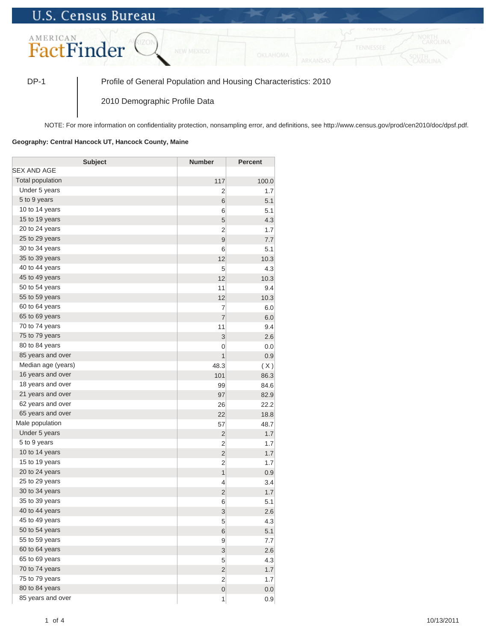## **U.S. Census Bureau**



DP-1 Profile of General Population and Housing Characteristics: 2010

2010 Demographic Profile Data

NOTE: For more information on confidentiality protection, nonsampling error, and definitions, see http://www.census.gov/prod/cen2010/doc/dpsf.pdf.

## **Geography: Central Hancock UT, Hancock County, Maine**

| <b>Subject</b>          | <b>Number</b>    | <b>Percent</b> |
|-------------------------|------------------|----------------|
| SEX AND AGE             |                  |                |
| <b>Total population</b> | 117              | 100.0          |
| Under 5 years           | 2                | 1.7            |
| 5 to 9 years            | 6                | 5.1            |
| 10 to 14 years          | 6                | 5.1            |
| 15 to 19 years          | 5                | 4.3            |
| 20 to 24 years          | $\overline{2}$   | 1.7            |
| 25 to 29 years          | 9                | 7.7            |
| 30 to 34 years          | 6                | 5.1            |
| 35 to 39 years          | 12               | 10.3           |
| 40 to 44 years          | 5                | 4.3            |
| 45 to 49 years          | 12               | 10.3           |
| 50 to 54 years          | 11               | 9.4            |
| 55 to 59 years          | 12               | 10.3           |
| 60 to 64 years          | $\overline{7}$   | 6.0            |
| 65 to 69 years          | $\overline{7}$   | 6.0            |
| 70 to 74 years          | 11               | 9.4            |
| 75 to 79 years          | 3                | 2.6            |
| 80 to 84 years          | 0                | 0.0            |
| 85 years and over       | 1                | 0.9            |
| Median age (years)      | 48.3             | (X)            |
| 16 years and over       | 101              | 86.3           |
| 18 years and over       | 99               | 84.6           |
| 21 years and over       | 97               | 82.9           |
| 62 years and over       | 26               | 22.2           |
| 65 years and over       | 22               | 18.8           |
| Male population         | 57               | 48.7           |
| Under 5 years           | $\overline{2}$   | 1.7            |
| 5 to 9 years            | $\overline{2}$   | 1.7            |
| 10 to 14 years          | $\overline{2}$   | 1.7            |
| 15 to 19 years          | $\overline{2}$   | 1.7            |
| 20 to 24 years          | 1                | 0.9            |
| 25 to 29 years          | 4                | 3.4            |
| 30 to 34 years          | $\overline{2}$   | 1.7            |
| 35 to 39 years          | 6                | 5.1            |
| 40 to 44 years          | 3                | 2.6            |
| 45 to 49 years          | 5                | 4.3            |
| 50 to 54 years          | 6                | 5.1            |
| 55 to 59 years          | 9                | 7.7            |
| 60 to 64 years          | 3                | 2.6            |
| 65 to 69 years          | 5                | 4.3            |
| 70 to 74 years          | $\overline{c}$   | 1.7            |
| 75 to 79 years          | $\overline{2}$   | 1.7            |
| 80 to 84 years          | $\boldsymbol{0}$ | 0.0            |
| 85 years and over       | 1                | 0.9            |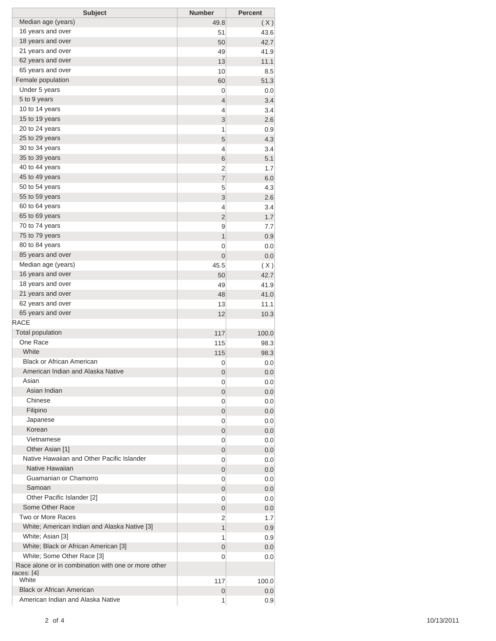| <b>Subject</b>                                      | <b>Number</b>  | <b>Percent</b> |
|-----------------------------------------------------|----------------|----------------|
| Median age (years)                                  | 49.8           | (X)            |
| 16 years and over                                   | 51             | 43.6           |
| 18 years and over                                   | 50             | 42.7           |
| 21 years and over                                   | 49             | 41.9           |
| 62 years and over                                   | 13             | 11.1           |
| 65 years and over                                   | 10             | 8.5            |
| Female population                                   | 60             | 51.3           |
| Under 5 years                                       | 0              | 0.0            |
| 5 to 9 years                                        | 4              | 3.4            |
| 10 to 14 years                                      | 4              | 3.4            |
| 15 to 19 years                                      | 3              | 2.6            |
| 20 to 24 years                                      | 1              | 0.9            |
| 25 to 29 years                                      | 5              | 4.3            |
| 30 to 34 years                                      | 4              | 3.4            |
| 35 to 39 years                                      | 6              | 5.1            |
| 40 to 44 years                                      | 2              | 1.7            |
| 45 to 49 years                                      | $\overline{7}$ | 6.0            |
| 50 to 54 years                                      | 5              | 4.3            |
| 55 to 59 years                                      | 3              | 2.6            |
| 60 to 64 years                                      | 4              | 3.4            |
| 65 to 69 years                                      | $\overline{2}$ | 1.7            |
| 70 to 74 years                                      | 9              | 7.7            |
| 75 to 79 years                                      | $\mathbf{1}$   | 0.9            |
| 80 to 84 years                                      | 0              | 0.0            |
| 85 years and over                                   | 0              | 0.0            |
| Median age (years)                                  | 45.5           | (X)            |
| 16 years and over                                   | 50             | 42.7           |
| 18 years and over                                   | 49             | 41.9           |
| 21 years and over                                   | 48             | 41.0           |
| 62 years and over                                   | 13             | 11.1           |
| 65 years and over                                   | 12             | 10.3           |
| RACE                                                |                |                |
| <b>Total population</b>                             | 117            | 100.0          |
| One Race                                            | 115            | 98.3           |
| White                                               | 115            | 98.3           |
| <b>Black or African American</b>                    | 0              | 0.0            |
| American Indian and Alaska Native                   | 0              | 0.0            |
| Asian                                               | 0              | 0.0            |
| Asian Indian                                        | 0              | 0.0            |
| Chinese                                             | 0              | 0.0            |
| Filipino                                            | 0              | 0.0            |
| Japanese                                            | 0              | 0.0            |
| Korean                                              | 0              | 0.0            |
| Vietnamese                                          | 0              | 0.0            |
| Other Asian [1]                                     | 0              | 0.0            |
| Native Hawaiian and Other Pacific Islander          | 0              | 0.0            |
| Native Hawaiian                                     | 0              | 0.0            |
| Guamanian or Chamorro                               | 0              | 0.0            |
| Samoan                                              | 0              | 0.0            |
| Other Pacific Islander [2]                          | 0              | 0.0            |
| Some Other Race                                     | 0              | 0.0            |
| Two or More Races                                   | 2              | 1.7            |
| White; American Indian and Alaska Native [3]        | $\mathbf{1}$   | 0.9            |
| White; Asian [3]                                    | 1              | 0.9            |
| White; Black or African American [3]                | 0              | 0.0            |
| White; Some Other Race [3]                          | 0              | 0.0            |
| Race alone or in combination with one or more other |                |                |
| races: [4]                                          |                |                |
| White                                               | 117            | 100.0          |
| <b>Black or African American</b>                    | 0              | 0.0            |
| American Indian and Alaska Native                   | 1              | 0.9            |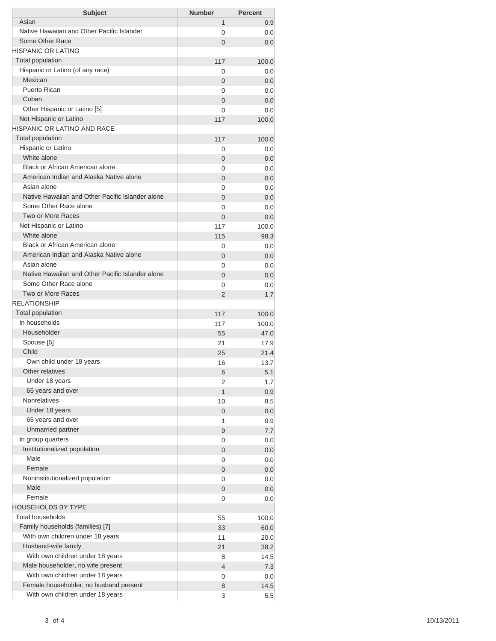| <b>Subject</b>                                   | <b>Number</b>  | <b>Percent</b> |
|--------------------------------------------------|----------------|----------------|
| Asian                                            | 1              | 0.9            |
| Native Hawaiian and Other Pacific Islander       | 0              | 0.0            |
| Some Other Race                                  | $\overline{0}$ | 0.0            |
| HISPANIC OR LATINO                               |                |                |
| <b>Total population</b>                          | 117            | 100.0          |
| Hispanic or Latino (of any race)                 | 0              | 0.0            |
| Mexican                                          | 0              | 0.0            |
| Puerto Rican                                     | 0              | 0.0            |
| Cuban                                            | $\overline{0}$ | 0.0            |
| Other Hispanic or Latino [5]                     | 0              | 0.0            |
| Not Hispanic or Latino                           | 117            | 100.0          |
| HISPANIC OR LATINO AND RACE                      |                |                |
| <b>Total population</b>                          | 117            | 100.0          |
| Hispanic or Latino                               | 0              | 0.0            |
| White alone                                      | 0              | 0.0            |
| Black or African American alone                  | 0              | 0.0            |
| American Indian and Alaska Native alone          | 0              | 0.0            |
| Asian alone                                      | 0              | 0.0            |
| Native Hawaiian and Other Pacific Islander alone | $\overline{0}$ | 0.0            |
| Some Other Race alone                            | 0              | 0.0            |
| Two or More Races                                | $\overline{0}$ | 0.0            |
| Not Hispanic or Latino                           | 117            | 100.0          |
| White alone                                      | 115            | 98.3           |
| Black or African American alone                  | 0              | 0.0            |
| American Indian and Alaska Native alone          | 0              | 0.0            |
| Asian alone                                      | 0              | 0.0            |
| Native Hawaiian and Other Pacific Islander alone | $\overline{0}$ | 0.0            |
| Some Other Race alone<br>Two or More Races       | 0              | 0.0            |
| <b>RELATIONSHIP</b>                              | 2              | 1.7            |
| Total population                                 |                |                |
| In households                                    | 117            | 100.0          |
| Householder                                      | 117            | 100.0          |
| Spouse [6]                                       | 55             | 47.0           |
| Child                                            | 21<br>25       | 17.9           |
| Own child under 18 years                         | 16             | 21.4<br>13.7   |
| Other relatives                                  |                |                |
| Under 18 years                                   | 6<br>2         | 5.1<br>1.7     |
| 65 years and over                                | 1              | 0.9            |
| <b>Nonrelatives</b>                              | 10             | 8.5            |
| Under 18 years                                   | 0              | 0.0            |
| 65 years and over                                | 1              | 0.9            |
| Unmarried partner                                | 9              | 7.7            |
| In group quarters                                | 0              | 0.0            |
| Institutionalized population                     | 0              | 0.0            |
| Male                                             | 0              | 0.0            |
| Female                                           | 0              | 0.0            |
| Noninstitutionalized population                  | 0              | 0.0            |
| Male                                             | 0              | 0.0            |
| Female                                           | 0              | 0.0            |
| HOUSEHOLDS BY TYPE                               |                |                |
| <b>Total households</b>                          | 55             | 100.0          |
| Family households (families) [7]                 | 33             | 60.0           |
| With own children under 18 years                 | 11             | 20.0           |
| Husband-wife family                              | 21             | 38.2           |
| With own children under 18 years                 | 8              | 14.5           |
| Male householder, no wife present                | 4              | 7.3            |
| With own children under 18 years                 | 0              | 0.0            |
| Female householder, no husband present           | 8              | 14.5           |
| With own children under 18 years                 | 3              | 5.5            |
|                                                  |                |                |